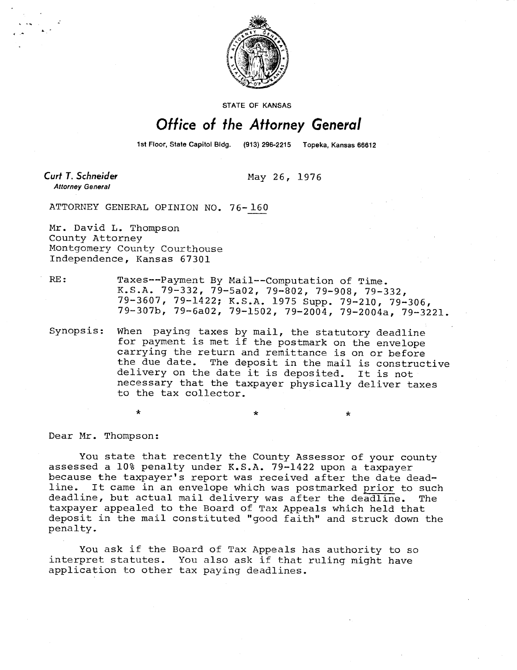

STATE OF KANSAS

## Office of the Attorney General

1st Floor, State Capitol Bidg. (913) 296-2215 Topeka, Kansas 66612

Curt T. Schneider **Attorney General** 

May 26, 1976

ATTORNEY GENERAL OPINION NO. 76-160

Mr. David L. Thompson County Attorney Montgomery County Courthouse Independence, Kansas 67301

\*

RE: Taxes--Payment By Mail--Computation of Time. K.S.A. 79-332, 79-5a02, 79-802, 79-908, 79-332, 79-3607, 79-1422; K.S.A. 1975 Supp. 79-210, 79-306, 79-307b, 79-6a02, 79-1502, 79-2004, 79-2004a, 79-3221.

Synopsis: When paying taxes by mail, the statutory deadline for payment is met if the postmark on the envelope carrying the return and remittance is on or before the due date. The deposit in the mail is constructive delivery on the date it is deposited. It is not necessary that the taxpayer physically deliver taxes to the tax collector.

Dear Mr. Thompson:

You state that recently the County Assessor of your county assessed a 10% penalty under K.S.A. 79-1422 upon a taxpayer because the taxpayer's report was received after the date deadline. It came in an envelope which was postmarked prior to such deadline, but actual mail delivery was after the deadline. The taxpayer appealed to the Board of Tax Appeals which held that deposit in the mail constituted "good faith" and struck down the penalty.

You ask if the Board of Tax Appeals has authority to so interpret statutes. You also ask if that ruling might have application to other tax paying deadlines.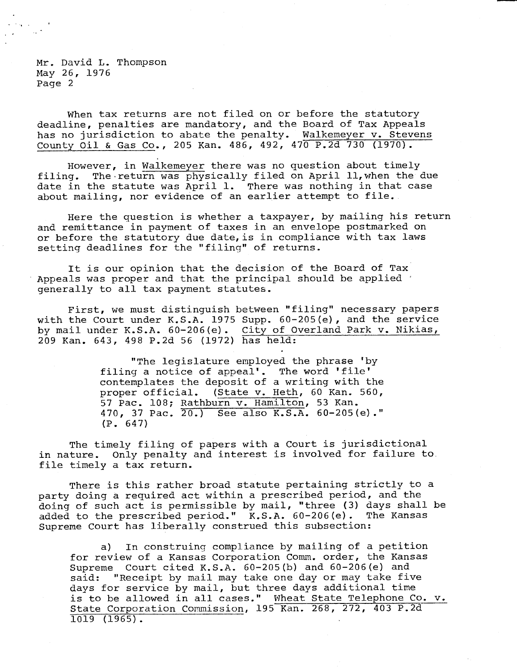Mr. David L. Thompson May 26, 1976 Page 2

When tax returns are not filed on or before the statutory deadline, penalties are mandatory, and the Board of Tax Appeals has no jurisdiction to abate the penalty. Walkemeyer v. Stevens County Oil & Gas Co., 205 Kan. 486, 492, 470 P.2d 730 (1970).

However, in Walkemeyer there was no question about timely filing. The return was physically filed on April 11, when the due date in the statute was April 1. There was nothing in that case about mailing, nor evidence of an earlier attempt to file.

Here the question is whether a taxpayer, by mailing his return and remittance in payment of taxes in an envelope postmarked on or before the statutory due date, is in compliance with tax laws setting deadlines for the "filing" of returns.

It is our opinion that the decision of the Board of Tax Appeals was proper and that the principal should be applied generally to all tax payment statutes.

First, we must distinguish between "filing" necessary papers with the Court under K.S.A. 1975 Supp. 60-205(e), and the service by mail under K.S.A. 60-206(e). City of Overland Park v. Nikias, 209 Kan. 643, 498 P.2d 56 (1972) has held:

> "The legislature employed the phrase 'by filing a notice of appeal'. The word 'file' contemplates the deposit of a writing with the proper official. (State v. Heth, 60 Kan. 560, 57 Pac. 108; Rathburn v. Hamilton, 53 Kan. 470, 37 Pac. 20.) See also K.S.A. 60-205(e)." (P. 647)

The timely filing of papers with a Court is jurisdictional in nature. Only penalty and interest is involved for failure to. file timely a tax return.

There is this rather broad statute pertaining strictly to a party doing a required act within a prescribed period, and the doing of such act is permissible by mail, "three (3) days shall be added to the prescribed period." K.S.A. 60-206(e). The Kansas Supreme Court has liberally construed this subsection:

a) In construing compliance by mailing of a petition for review of a Kansas Corporation Comm. order, the Kansas Supreme Court cited K.S.A. 60-205(b) and 60-206(e) and said: "Receipt by mail may take one day or may take five days for service by mail, but three days additional time is to be allowed in all cases." Wheat State Telephone Co. v. State Corporation Commission, 195 Kan. 268, 272, 403 P.2d 1019 (1965).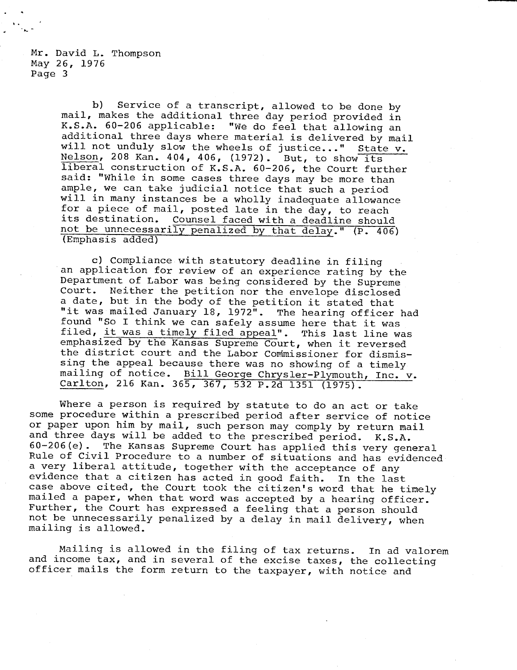Mr. David L. Thompson May 26, 1976 Page 3

> b) Service of a transcript, allowed to be done by mail, makes the additional three day period provided in K.S.A. 60-206 applicable: "We do feel that allowing an additional three days where material is delivered by mail will not unduly slow the wheels of justice..." State v. Nelson, 208 Kan. 404, 406, (1972). But, to show its liberal construction of K.S.A. 60-206, the Court further said: "While in some cases three days may be more than ample, we can take judicial notice that such a period will in many instances be a wholly inadequate allowance for a piece of mail, posted late in the day, to reach its destination. Counsel faced with a deadline should not be unnecessarily penalized by that delay." (P. 406) (Emphasis added)

c) Compliance with statutory deadline in filing an application for review of an experience rating by the Department of Labor was being considered by the Supreme Court. Neither the petition nor the envelope disclosed a date, but in the body of the petition it stated that "it was mailed January 18, 1972". The hearing officer had found "So I think we can safely assume here that it was filed, it was a timely filed appeal". This last line was emphasized by the Kansas Supreme Court, when it reversed the district court and the Labor Commissioner for dismissing the appeal because there was no showing of a timely mailing of notice. Bill George Chrysler-Plymouth, Inc. v. Carlton, 216 Kan. 365, 367, 532 P.2d 1351 (1975).

Where a person is required by statute to do an act or take some procedure within a prescribed period after service of notice or paper upon him by mail, such person may comply by return mail and three days will be added to the prescribed period. K.S.A. 60-206(e). The Kansas Supreme Court has applied this very general Rule of Civil Procedure to a number of situations and has evidenced a very liberal attitude, together with the acceptance of any evidence that a citizen has acted in good faith. In the last case above cited, the Court took the citizen's word that he timely mailed a paper, when that word was accepted by a hearing officer. Further, the Court has expressed a feeling that a person should not be unnecessarily penalized by a delay in mail delivery, when mailing is allowed.

Mailing is allowed in the filing of tax returns. In ad valorem and income tax, and in several of the excise taxes, the collecting officer mails the form return to the taxpayer, with notice and